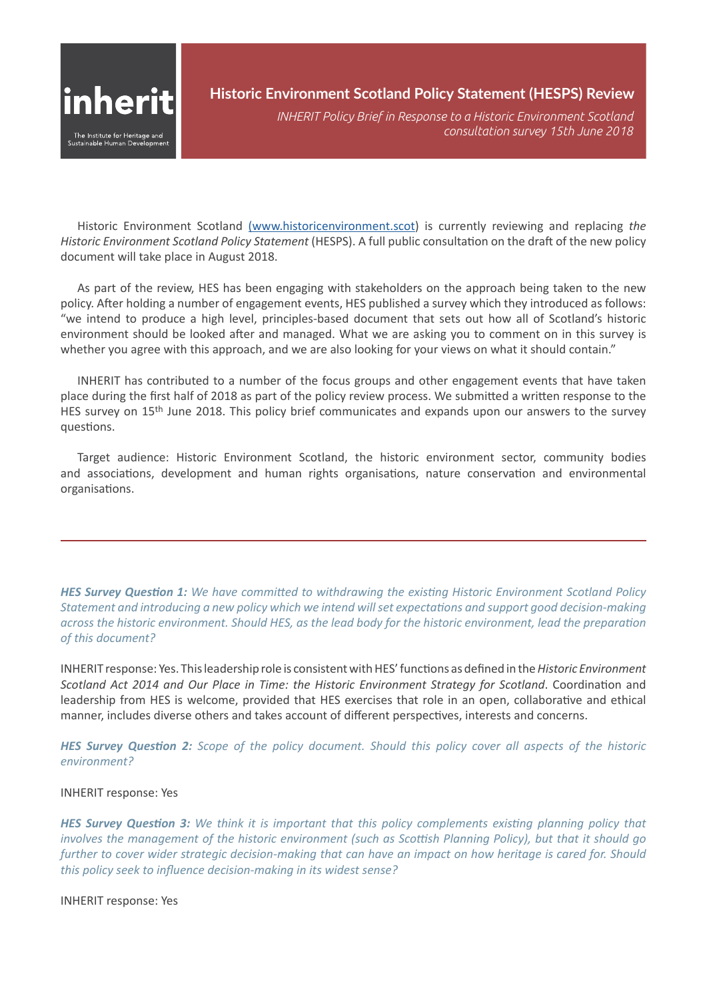

# **Historic Environment Scotland Policy Statement (HESPS) Review**

*INHERIT Policy Brief in Response to a Historic Environment Scotland consultation survey 15th June 2018*

Historic Environment Scotland [\(www.historicenvironment.scot\)](http://www.historicenvironment.scot) is currently reviewing and replacing *the Historic Environment Scotland Policy Statement* (HESPS). A full public consultation on the draft of the new policy document will take place in August 2018.

As part of the review, HES has been engaging with stakeholders on the approach being taken to the new policy. After holding a number of engagement events, HES published a survey which they introduced as follows: "we intend to produce a high level, principles-based document that sets out how all of Scotland's historic environment should be looked after and managed. What we are asking you to comment on in this survey is whether you agree with this approach, and we are also looking for your views on what it should contain."

INHERIT has contributed to a number of the focus groups and other engagement events that have taken place during the first half of 2018 as part of the policy review process. We submitted a written response to the HES survey on 15<sup>th</sup> June 2018. This policy brief communicates and expands upon our answers to the survey questions.

Target audience: Historic Environment Scotland, the historic environment sector, community bodies and associations, development and human rights organisations, nature conservation and environmental organisations.

*HES Survey Question 1: We have committed to withdrawing the existing Historic Environment Scotland Policy Statement and introducing a new policy which we intend will set expectations and support good decision-making across the historic environment. Should HES, as the lead body for the historic environment, lead the preparation of this document?*

INHERIT response: Yes. This leadership role is consistent with HES' functions as defined in the *Historic Environment Scotland Act 2014 and Our Place in Time: the Historic Environment Strategy for Scotland*. Coordination and leadership from HES is welcome, provided that HES exercises that role in an open, collaborative and ethical manner, includes diverse others and takes account of different perspectives, interests and concerns.

*HES Survey Question 2: Scope of the policy document. Should this policy cover all aspects of the historic environment?*

#### INHERIT response: Yes

*HES Survey Question 3: We think it is important that this policy complements existing planning policy that involves the management of the historic environment (such as Scottish Planning Policy), but that it should go further to cover wider strategic decision-making that can have an impact on how heritage is cared for. Should this policy seek to influence decision-making in its widest sense?*

INHERIT response: Yes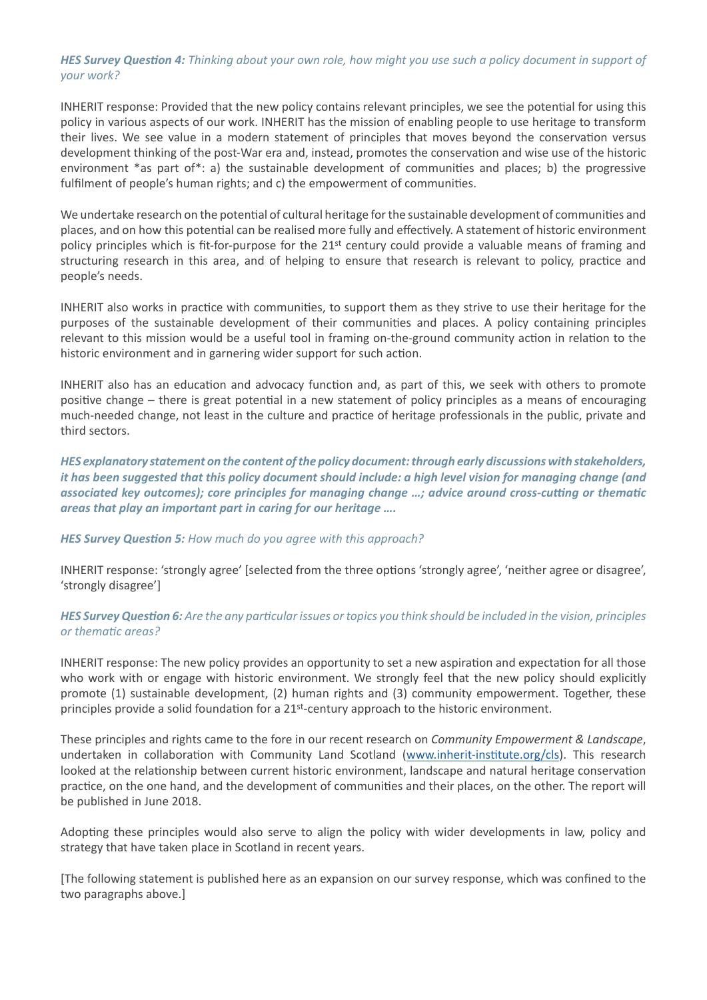### *HES Survey Question 4: Thinking about your own role, how might you use such a policy document in support of your work?*

INHERIT response: Provided that the new policy contains relevant principles, we see the potential for using this policy in various aspects of our work. INHERIT has the mission of enabling people to use heritage to transform their lives. We see value in a modern statement of principles that moves beyond the conservation versus development thinking of the post-War era and, instead, promotes the conservation and wise use of the historic environment \*as part of\*: a) the sustainable development of communities and places; b) the progressive fulfilment of people's human rights; and c) the empowerment of communities.

We undertake research on the potential of cultural heritage for the sustainable development of communities and places, and on how this potential can be realised more fully and effectively. A statement of historic environment policy principles which is fit-for-purpose for the 21<sup>st</sup> century could provide a valuable means of framing and structuring research in this area, and of helping to ensure that research is relevant to policy, practice and people's needs.

INHERIT also works in practice with communities, to support them as they strive to use their heritage for the purposes of the sustainable development of their communities and places. A policy containing principles relevant to this mission would be a useful tool in framing on-the-ground community action in relation to the historic environment and in garnering wider support for such action.

INHERIT also has an education and advocacy function and, as part of this, we seek with others to promote positive change – there is great potential in a new statement of policy principles as a means of encouraging much-needed change, not least in the culture and practice of heritage professionals in the public, private and third sectors.

*HES explanatory statement on the content of the policy document: through early discussions with stakeholders, it has been suggested that this policy document should include: a high level vision for managing change (and associated key outcomes); core principles for managing change …; advice around cross-cutting or thematic areas that play an important part in caring for our heritage ….*

*HES Survey Question 5: How much do you agree with this approach?*

INHERIT response: 'strongly agree' [selected from the three options 'strongly agree', 'neither agree or disagree', 'strongly disagree']

## *HES Survey Question 6: Are the any particular issues or topics you think should be included in the vision, principles or thematic areas?*

INHERIT response: The new policy provides an opportunity to set a new aspiration and expectation for all those who work with or engage with historic environment. We strongly feel that the new policy should explicitly promote (1) sustainable development, (2) human rights and (3) community empowerment. Together, these principles provide a solid foundation for a  $21<sup>st</sup>$ -century approach to the historic environment.

These principles and rights came to the fore in our recent research on *Community Empowerment & Landscape*, undertaken in collaboration with Community Land Scotland [\(www.inherit-institute.org/cls](http://www.inherit-institute.org/cls)). This research looked at the relationship between current historic environment, landscape and natural heritage conservation practice, on the one hand, and the development of communities and their places, on the other. The report will be published in June 2018.

Adopting these principles would also serve to align the policy with wider developments in law, policy and strategy that have taken place in Scotland in recent years.

[The following statement is published here as an expansion on our survey response, which was confined to the two paragraphs above.]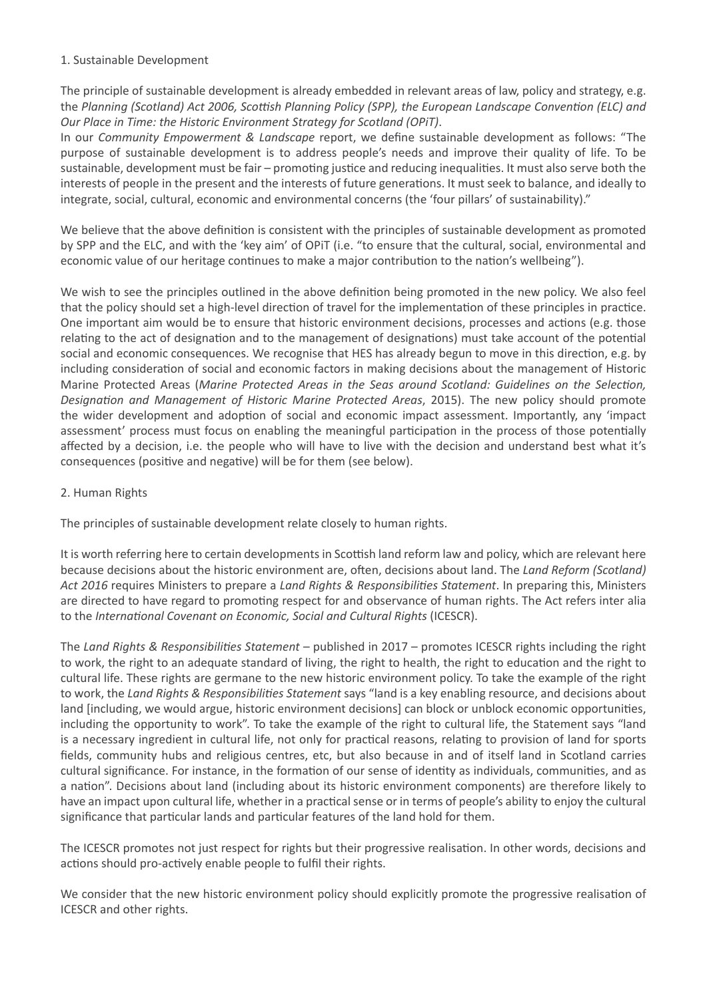#### 1. Sustainable Development

The principle of sustainable development is already embedded in relevant areas of law, policy and strategy, e.g. the *Planning (Scotland) Act 2006, Scottish Planning Policy (SPP), the European Landscape Convention (ELC) and Our Place in Time: the Historic Environment Strategy for Scotland (OPiT)*.

In our *Community Empowerment & Landscape* report, we define sustainable development as follows: "The purpose of sustainable development is to address people's needs and improve their quality of life. To be sustainable, development must be fair – promoting justice and reducing inequalities. It must also serve both the interests of people in the present and the interests of future generations. It must seek to balance, and ideally to integrate, social, cultural, economic and environmental concerns (the 'four pillars' of sustainability)."

We believe that the above definition is consistent with the principles of sustainable development as promoted by SPP and the ELC, and with the 'key aim' of OPiT (i.e. "to ensure that the cultural, social, environmental and economic value of our heritage continues to make a major contribution to the nation's wellbeing").

We wish to see the principles outlined in the above definition being promoted in the new policy. We also feel that the policy should set a high-level direction of travel for the implementation of these principles in practice. One important aim would be to ensure that historic environment decisions, processes and actions (e.g. those relating to the act of designation and to the management of designations) must take account of the potential social and economic consequences. We recognise that HES has already begun to move in this direction, e.g. by including consideration of social and economic factors in making decisions about the management of Historic Marine Protected Areas (*Marine Protected Areas in the Seas around Scotland: Guidelines on the Selection, Designation and Management of Historic Marine Protected Areas*, 2015). The new policy should promote the wider development and adoption of social and economic impact assessment. Importantly, any 'impact assessment' process must focus on enabling the meaningful participation in the process of those potentially affected by a decision, i.e. the people who will have to live with the decision and understand best what it's consequences (positive and negative) will be for them (see below).

## 2. Human Rights

The principles of sustainable development relate closely to human rights.

It is worth referring here to certain developments in Scottish land reform law and policy, which are relevant here because decisions about the historic environment are, often, decisions about land. The *Land Reform (Scotland) Act 2016* requires Ministers to prepare a *Land Rights & Responsibilities Statement*. In preparing this, Ministers are directed to have regard to promoting respect for and observance of human rights. The Act refers inter alia to the *International Covenant on Economic, Social and Cultural Rights* (ICESCR).

The *Land Rights & Responsibilities Statement* – published in 2017 – promotes ICESCR rights including the right to work, the right to an adequate standard of living, the right to health, the right to education and the right to cultural life. These rights are germane to the new historic environment policy. To take the example of the right to work, the *Land Rights & Responsibilities Statement* says "land is a key enabling resource, and decisions about land [including, we would argue, historic environment decisions] can block or unblock economic opportunities, including the opportunity to work". To take the example of the right to cultural life, the Statement says "land is a necessary ingredient in cultural life, not only for practical reasons, relating to provision of land for sports fields, community hubs and religious centres, etc, but also because in and of itself land in Scotland carries cultural significance. For instance, in the formation of our sense of identity as individuals, communities, and as a nation". Decisions about land (including about its historic environment components) are therefore likely to have an impact upon cultural life, whether in a practical sense or in terms of people's ability to enjoy the cultural significance that particular lands and particular features of the land hold for them.

The ICESCR promotes not just respect for rights but their progressive realisation. In other words, decisions and actions should pro-actively enable people to fulfil their rights.

We consider that the new historic environment policy should explicitly promote the progressive realisation of ICESCR and other rights.